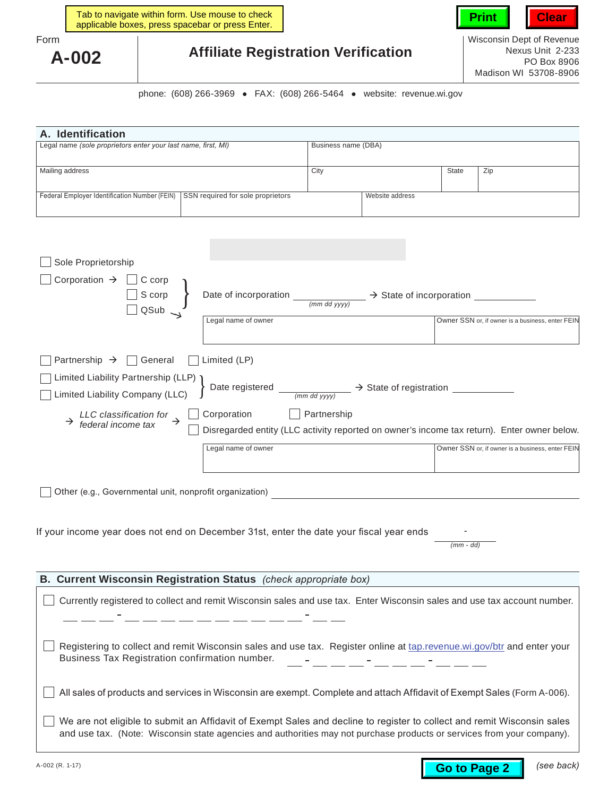

Wisconsin Dept of Revenue Nexus Unit 2‑233 PO Box 8906 Madison WI 53708-8906

## **Affiliate Registration Verification**

phone: (608) 266‑3969 • FAX: (608) 266‑5464 • website: [revenue.wi.gov](https://www.revenue.wi.gov)

| A. Identification                                                                  |                     |       |     |  |  |
|------------------------------------------------------------------------------------|---------------------|-------|-----|--|--|
| Legal name (sole proprietors enter your last name, first, MI)                      | Business name (DBA) |       |     |  |  |
|                                                                                    |                     |       |     |  |  |
| Mailing address                                                                    | City                | State | Zip |  |  |
|                                                                                    |                     |       |     |  |  |
| SSN required for sole proprietors<br>Federal Employer Identification Number (FEIN) | Website address     |       |     |  |  |
|                                                                                    |                     |       |     |  |  |

| Sole Proprietorship                                                    |                                                                                                                                                                                       |                                                                                          |
|------------------------------------------------------------------------|---------------------------------------------------------------------------------------------------------------------------------------------------------------------------------------|------------------------------------------------------------------------------------------|
| Corporation $\rightarrow$<br>C corp<br>S corp<br>QSub                  | Date of incorporation<br>(mm dd yyyy)<br>Legal name of owner                                                                                                                          | $\rightarrow$ State of incorporation<br>Owner SSN or, if owner is a business, enter FEIN |
|                                                                        |                                                                                                                                                                                       |                                                                                          |
| Partnership $\rightarrow$   General                                    | Limited (LP)                                                                                                                                                                          |                                                                                          |
| Limited Liability Partnership (LLP)<br>Limited Liability Company (LLC) | Date registered $\frac{1}{(mm\, dd\,yyyy)}$ $\rightarrow$ State of registration $\frac{1}{(mm\, dd\,yyyy)}$                                                                           |                                                                                          |
| $\rightarrow$ LLC classification for $\rightarrow$ federal income tax  | Corporation<br>Partnership                                                                                                                                                            |                                                                                          |
|                                                                        | Disregarded entity (LLC activity reported on owner's income tax return). Enter owner below.                                                                                           |                                                                                          |
|                                                                        | Legal name of owner                                                                                                                                                                   | Owner SSN or, if owner is a business, enter FEIN                                         |
| Other (e.g., Governmental unit, nonprofit organization)                |                                                                                                                                                                                       |                                                                                          |
|                                                                        |                                                                                                                                                                                       |                                                                                          |
|                                                                        | If your income year does not end on December 31st, enter the date your fiscal year ends                                                                                               | $(mm - dd)$                                                                              |
| B. Current Wisconsin Registration Status (check appropriate box)       |                                                                                                                                                                                       |                                                                                          |
|                                                                        | Currently registered to collect and remit Wisconsin sales and use tax. Enter Wisconsin sales and use tax account number.<br><u> 1988 - Johann Stoff, Amerikaansk politik († 1918)</u> |                                                                                          |
| Business Tax Registration confirmation number.                         | Registering to collect and remit Wisconsin sales and use tax. Register online at tap.revenue.wi.gov/btr and enter your                                                                |                                                                                          |
|                                                                        | All sales of products and services in Wisconsin are exempt. Complete and attach Affidavit of Exempt Sales (Form A-006).                                                               |                                                                                          |
|                                                                        | We are not eligible to submit an Affidavit of Exempt Sales and decline to register to collect and remit Wisconsin sales                                                               |                                                                                          |

and use tax. (Note: Wisconsin state agencies and authorities may not purchase products or services from your company).

Form

**A-002**